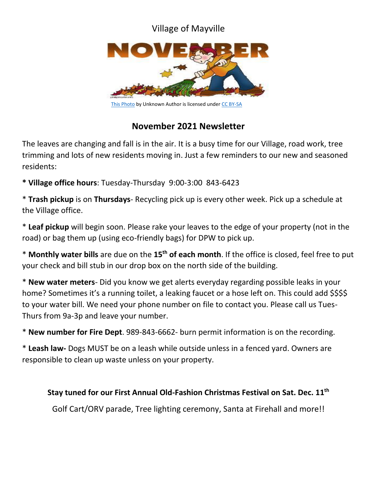# Village of Mayville



[This Photo](http://www.frugalteacher.com/2012/11/great-books-for-november.html) by Unknown Author is licensed unde[r CC BY-SA](https://creativecommons.org/licenses/by-sa/3.0/)

# **November 2021 Newsletter**

The leaves are changing and fall is in the air. It is a busy time for our Village, road work, tree trimming and lots of new residents moving in. Just a few reminders to our new and seasoned residents:

**\* Village office hours**: Tuesday-Thursday 9:00-3:00 843-6423

\* **Trash pickup** is on **Thursdays**- Recycling pick up is every other week. Pick up a schedule at the Village office.

\* **Leaf pickup** will begin soon. Please rake your leaves to the edge of your property (not in the road) or bag them up (using eco-friendly bags) for DPW to pick up.

\* **Monthly water bills** are due on the **15th of each month**. If the office is closed, feel free to put your check and bill stub in our drop box on the north side of the building.

\* **New water meters**- Did you know we get alerts everyday regarding possible leaks in your home? Sometimes it's a running toilet, a leaking faucet or a hose left on. This could add \$\$\$\$ to your water bill. We need your phone number on file to contact you. Please call us Tues-Thurs from 9a-3p and leave your number.

\* **New number for Fire Dept**. 989-843-6662- burn permit information is on the recording.

\* **Leash law-** Dogs MUST be on a leash while outside unless in a fenced yard. Owners are responsible to clean up waste unless on your property.

### **Stay tuned for our First Annual Old-Fashion Christmas Festival on Sat. Dec. 11 th**

Golf Cart/ORV parade, Tree lighting ceremony, Santa at Firehall and more!!